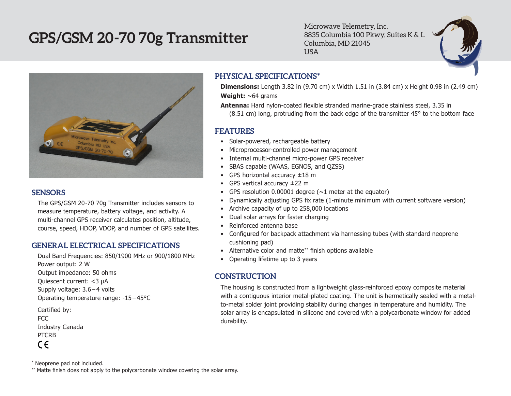# **GPS/GSM 20-70 70g Transmitter**

Microwave Telemetry, Inc. 8835 Columbia 100 Pkwy, Suites K & L Columbia, MD 21045 USA



#### **SENSORS**

The GPS/GSM 20-70 70g Transmitter includes sensors to measure temperature, battery voltage, and activity. A multi-channel GPS receiver calculates position, altitude, course, speed, HDOP, VDOP, and number of GPS satellites.

#### **GENERAL ELECTRICAL SPECIFICATIONS**

- Dual Band Frequencies: 850/1900 MHz or 900/1800 MHz Power output: 2 W Output impedance: 50 ohms Quiescent current: <3 µA Supply voltage: 3.6 – 4 volts Operating temperature range: -15 – 45°C Certified by: FCC
- Industry Canada PTCRB  $\epsilon$

\* Neoprene pad not included.

\*\* Matte finish does not apply to the polycarbonate window covering the solar array.

### **PHYSICAL SPECIFICATIONS\***

**Dimensions:** Length 3.82 in (9.70 cm) x Width 1.51 in (3.84 cm) x Height 0.98 in (2.49 cm) **Weight:** ~64 grams

**Antenna:** Hard nylon-coated flexible stranded marine-grade stainless steel, 3.35 in (8.51 cm) long, protruding from the back edge of the transmitter 45° to the bottom face

#### **FEATURES**

- Solar-powered, rechargeable battery
- Microprocessor-controlled power management
- Internal multi-channel micro-power GPS receiver
- • SBAS capable (WAAS, EGNOS, and QZSS)
- GPS horizontal accuracy  $\pm 18$  m
- GPS vertical accuracy  $\pm 22$  m
- GPS resolution 0.00001 degree  $(\sim 1$  meter at the equator)
- • Dynamically adjusting GPS fix rate (1-minute minimum with current software version)
- Archive capacity of up to 258,000 locations
- • Dual solar arrays for faster charging
- Reinforced antenna base
- Configured for backpack attachment via harnessing tubes (with standard neoprene cushioning pad)
- Alternative color and matte\*\* finish options available
- Operating lifetime up to 3 years

## **CONSTRUCTION**

The housing is constructed from a lightweight glass-reinforced epoxy composite material with a contiguous interior metal-plated coating. The unit is hermetically sealed with a metalto-metal solder joint providing stability during changes in temperature and humidity. The solar array is encapsulated in silicone and covered with a polycarbonate window for added durability.